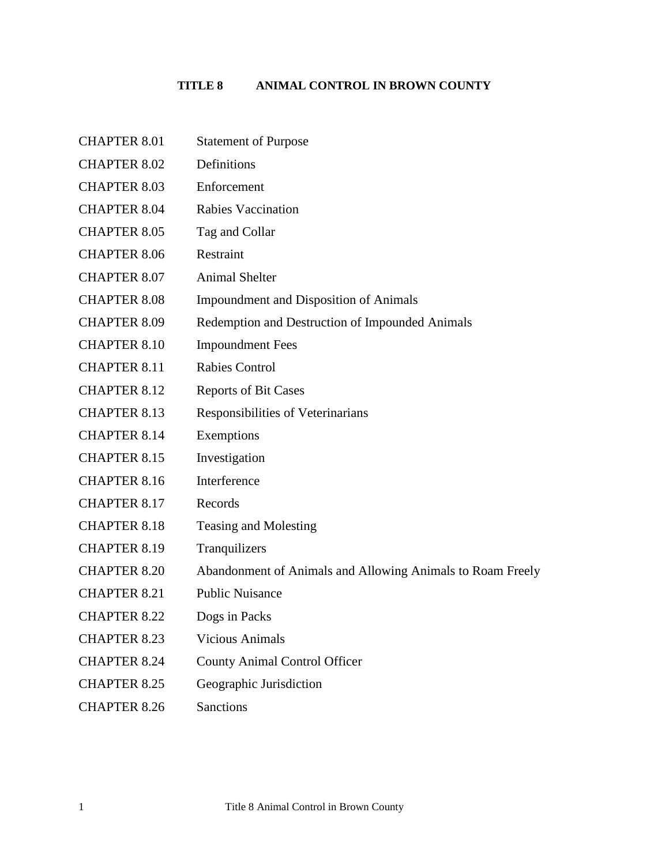# **TITLE 8 ANIMAL CONTROL IN BROWN COUNTY**

| <b>CHAPTER 8.01</b> | <b>Statement of Purpose</b>                                |
|---------------------|------------------------------------------------------------|
| <b>CHAPTER 8.02</b> | Definitions                                                |
| <b>CHAPTER 8.03</b> | Enforcement                                                |
| <b>CHAPTER 8.04</b> | <b>Rabies Vaccination</b>                                  |
| <b>CHAPTER 8.05</b> | Tag and Collar                                             |
| <b>CHAPTER 8.06</b> | Restraint                                                  |
| <b>CHAPTER 8.07</b> | <b>Animal Shelter</b>                                      |
| <b>CHAPTER 8.08</b> | <b>Impoundment and Disposition of Animals</b>              |
| <b>CHAPTER 8.09</b> | Redemption and Destruction of Impounded Animals            |
| <b>CHAPTER 8.10</b> | <b>Impoundment Fees</b>                                    |
| <b>CHAPTER 8.11</b> | <b>Rabies Control</b>                                      |
| <b>CHAPTER 8.12</b> | <b>Reports of Bit Cases</b>                                |
| <b>CHAPTER 8.13</b> | Responsibilities of Veterinarians                          |
| <b>CHAPTER 8.14</b> | Exemptions                                                 |
| <b>CHAPTER 8.15</b> | Investigation                                              |
| <b>CHAPTER 8.16</b> | Interference                                               |
| <b>CHAPTER 8.17</b> | Records                                                    |
| <b>CHAPTER 8.18</b> | <b>Teasing and Molesting</b>                               |
| <b>CHAPTER 8.19</b> | Tranquilizers                                              |
| <b>CHAPTER 8.20</b> | Abandonment of Animals and Allowing Animals to Roam Freely |
| <b>CHAPTER 8.21</b> | <b>Public Nuisance</b>                                     |
| <b>CHAPTER 8.22</b> | Dogs in Packs                                              |
| <b>CHAPTER 8.23</b> | <b>Vicious Animals</b>                                     |
| <b>CHAPTER 8.24</b> | <b>County Animal Control Officer</b>                       |
| <b>CHAPTER 8.25</b> | Geographic Jurisdiction                                    |
| <b>CHAPTER 8.26</b> | Sanctions                                                  |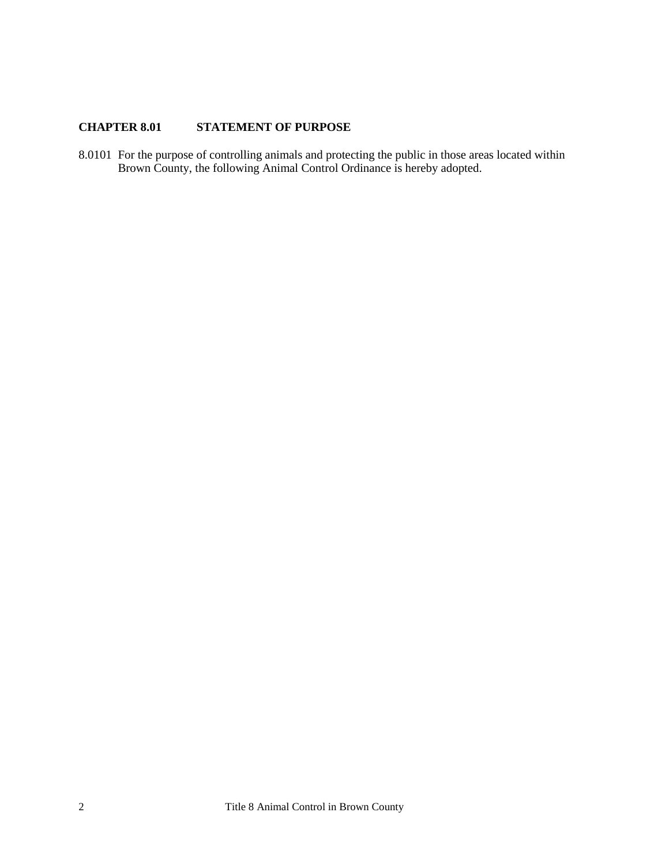## <span id="page-1-0"></span>**CHAPTER 8.01 STATEMENT OF PURPOSE**

8.0101 For the purpose of controlling animals and protecting the public in those areas located within Brown County, the following Animal Control Ordinance is hereby adopted.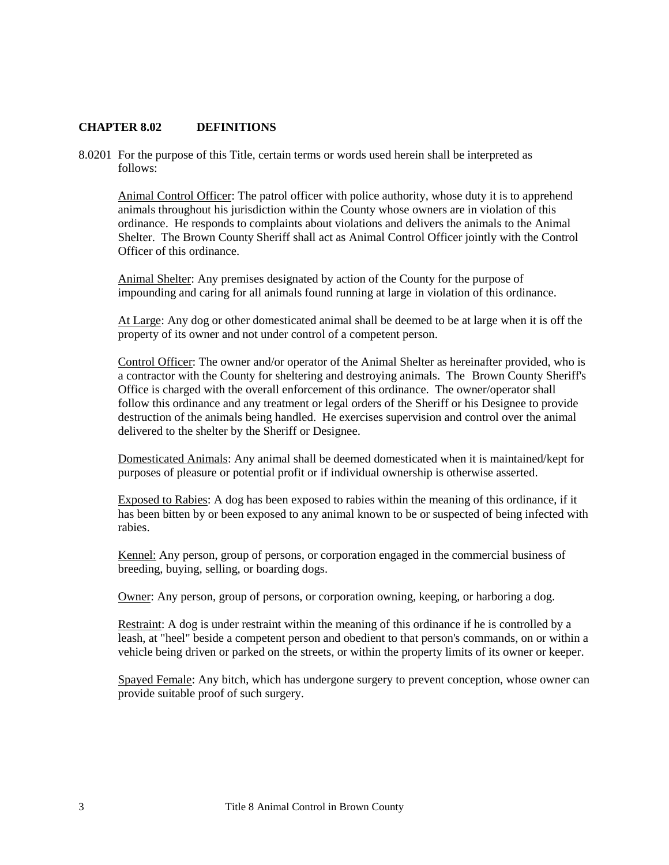### <span id="page-2-0"></span>**CHAPTER 8.02 DEFINITIONS**

8.0201 For the purpose of this Title, certain terms or words used herein shall be interpreted as follows:

Animal Control Officer: The patrol officer with police authority, whose duty it is to apprehend animals throughout his jurisdiction within the County whose owners are in violation of this ordinance. He responds to complaints about violations and delivers the animals to the Animal Shelter. The Brown County Sheriff shall act as Animal Control Officer jointly with the Control Officer of this ordinance.

Animal Shelter: Any premises designated by action of the County for the purpose of impounding and caring for all animals found running at large in violation of this ordinance.

At Large: Any dog or other domesticated animal shall be deemed to be at large when it is off the property of its owner and not under control of a competent person.

Control Officer: The owner and/or operator of the Animal Shelter as hereinafter provided, who is a contractor with the County for sheltering and destroying animals. The Brown County Sheriff's Office is charged with the overall enforcement of this ordinance. The owner/operator shall follow this ordinance and any treatment or legal orders of the Sheriff or his Designee to provide destruction of the animals being handled. He exercises supervision and control over the animal delivered to the shelter by the Sheriff or Designee.

Domesticated Animals: Any animal shall be deemed domesticated when it is maintained/kept for purposes of pleasure or potential profit or if individual ownership is otherwise asserted.

Exposed to Rabies: A dog has been exposed to rabies within the meaning of this ordinance, if it has been bitten by or been exposed to any animal known to be or suspected of being infected with rabies.

Kennel: Any person, group of persons, or corporation engaged in the commercial business of breeding, buying, selling, or boarding dogs.

Owner: Any person, group of persons, or corporation owning, keeping, or harboring a dog.

Restraint: A dog is under restraint within the meaning of this ordinance if he is controlled by a leash, at "heel" beside a competent person and obedient to that person's commands, on or within a vehicle being driven or parked on the streets, or within the property limits of its owner or keeper.

Spayed Female: Any bitch, which has undergone surgery to prevent conception, whose owner can provide suitable proof of such surgery.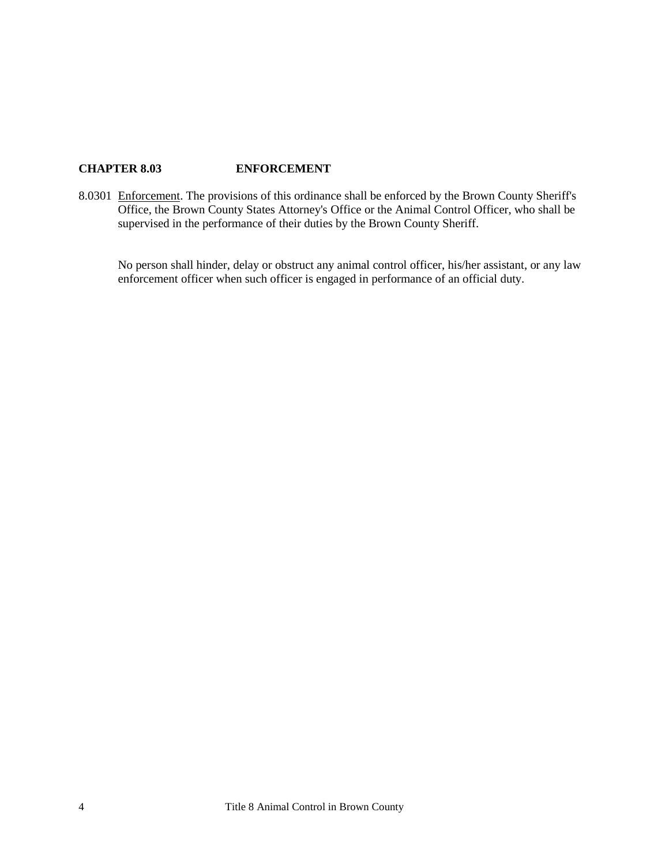## <span id="page-3-0"></span>**CHAPTER 8.03 ENFORCEMENT**

8.0301 Enforcement. The provisions of this ordinance shall be enforced by the Brown County Sheriff's Office, the Brown County States Attorney's Office or the Animal Control Officer, who shall be supervised in the performance of their duties by the Brown County Sheriff.

No person shall hinder, delay or obstruct any animal control officer, his/her assistant, or any law enforcement officer when such officer is engaged in performance of an official duty.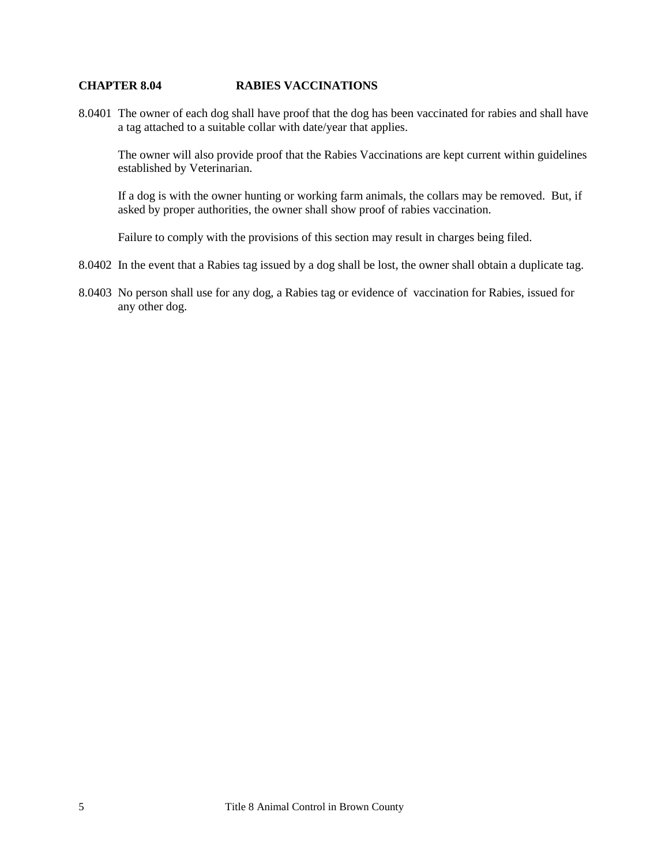#### <span id="page-4-0"></span>**CHAPTER 8.04 RABIES VACCINATIONS**

8.0401 The owner of each dog shall have proof that the dog has been vaccinated for rabies and shall have a tag attached to a suitable collar with date/year that applies.

The owner will also provide proof that the Rabies Vaccinations are kept current within guidelines established by Veterinarian.

If a dog is with the owner hunting or working farm animals, the collars may be removed. But, if asked by proper authorities, the owner shall show proof of rabies vaccination.

Failure to comply with the provisions of this section may result in charges being filed.

- 8.0402 In the event that a Rabies tag issued by a dog shall be lost, the owner shall obtain a duplicate tag.
- 8.0403 No person shall use for any dog, a Rabies tag or evidence of vaccination for Rabies, issued for any other dog.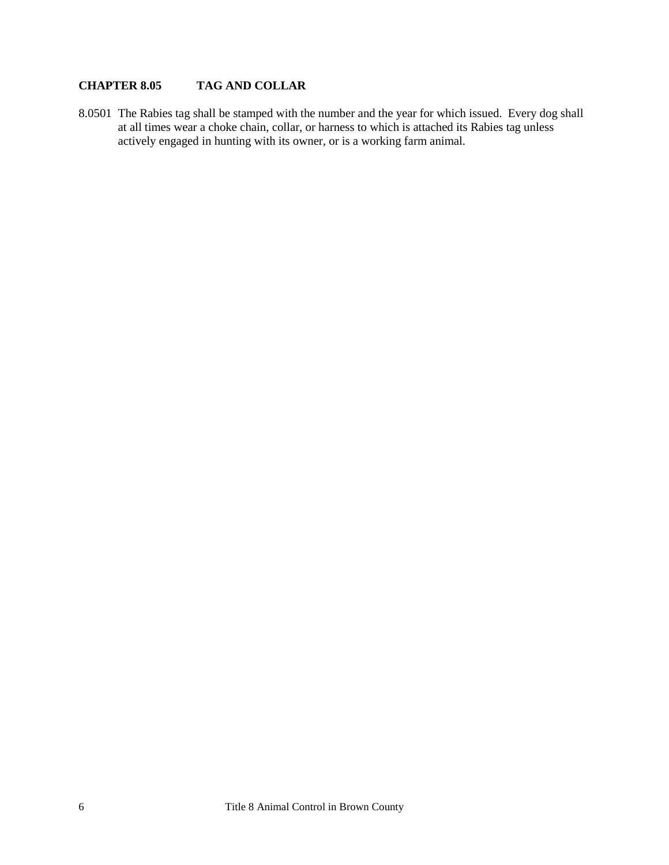## <span id="page-5-0"></span>**CHAPTER 8.05 TAG AND COLLAR**

8.0501 The Rabies tag shall be stamped with the number and the year for which issued. Every dog shall at all times wear a choke chain, collar, or harness to which is attached its Rabies tag unless actively engaged in hunting with its owner, or is a working farm animal.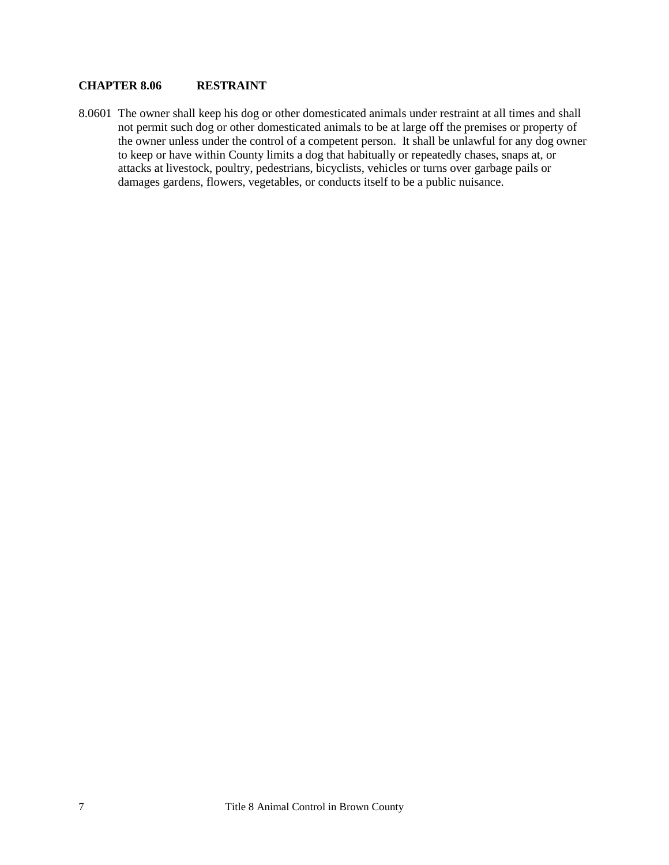### <span id="page-6-0"></span>**CHAPTER 8.06 RESTRAINT**

8.0601 The owner shall keep his dog or other domesticated animals under restraint at all times and shall not permit such dog or other domesticated animals to be at large off the premises or property of the owner unless under the control of a competent person. It shall be unlawful for any dog owner to keep or have within County limits a dog that habitually or repeatedly chases, snaps at, or attacks at livestock, poultry, pedestrians, bicyclists, vehicles or turns over garbage pails or damages gardens, flowers, vegetables, or conducts itself to be a public nuisance.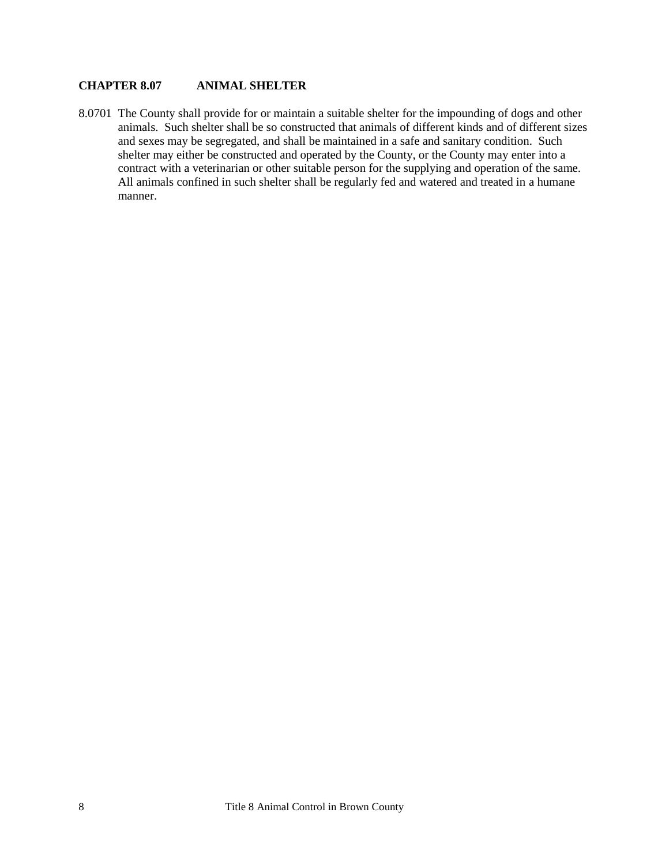### <span id="page-7-0"></span>**CHAPTER 8.07 ANIMAL SHELTER**

8.0701 The County shall provide for or maintain a suitable shelter for the impounding of dogs and other animals. Such shelter shall be so constructed that animals of different kinds and of different sizes and sexes may be segregated, and shall be maintained in a safe and sanitary condition. Such shelter may either be constructed and operated by the County, or the County may enter into a contract with a veterinarian or other suitable person for the supplying and operation of the same. All animals confined in such shelter shall be regularly fed and watered and treated in a humane manner.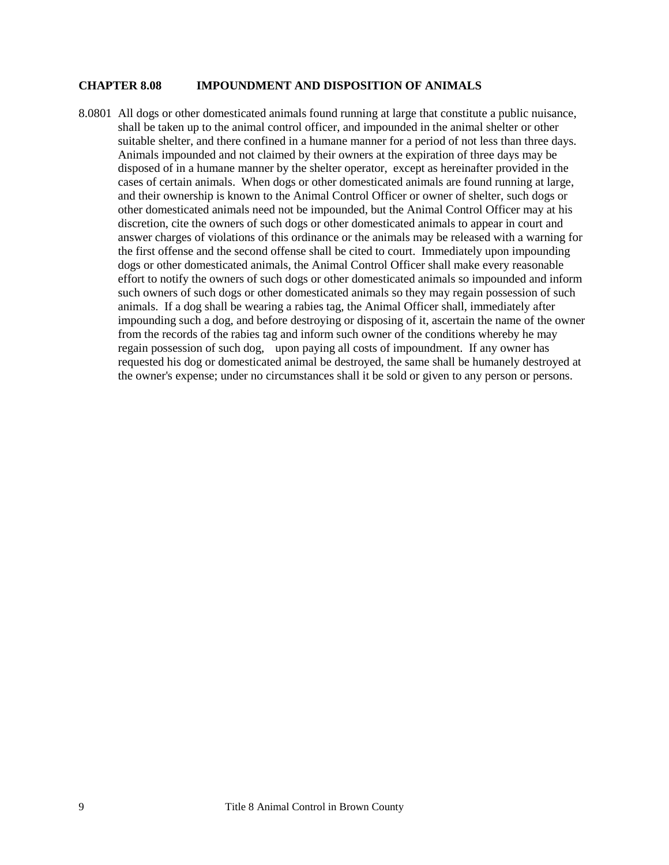#### <span id="page-8-0"></span>**CHAPTER 8.08 IMPOUNDMENT AND DISPOSITION OF ANIMALS**

8.0801 All dogs or other domesticated animals found running at large that constitute a public nuisance, shall be taken up to the animal control officer, and impounded in the animal shelter or other suitable shelter, and there confined in a humane manner for a period of not less than three days. Animals impounded and not claimed by their owners at the expiration of three days may be disposed of in a humane manner by the shelter operator, except as hereinafter provided in the cases of certain animals. When dogs or other domesticated animals are found running at large, and their ownership is known to the Animal Control Officer or owner of shelter, such dogs or other domesticated animals need not be impounded, but the Animal Control Officer may at his discretion, cite the owners of such dogs or other domesticated animals to appear in court and answer charges of violations of this ordinance or the animals may be released with a warning for the first offense and the second offense shall be cited to court. Immediately upon impounding dogs or other domesticated animals, the Animal Control Officer shall make every reasonable effort to notify the owners of such dogs or other domesticated animals so impounded and inform such owners of such dogs or other domesticated animals so they may regain possession of such animals. If a dog shall be wearing a rabies tag, the Animal Officer shall, immediately after impounding such a dog, and before destroying or disposing of it, ascertain the name of the owner from the records of the rabies tag and inform such owner of the conditions whereby he may regain possession of such dog, upon paying all costs of impoundment. If any owner has requested his dog or domesticated animal be destroyed, the same shall be humanely destroyed at the owner's expense; under no circumstances shall it be sold or given to any person or persons.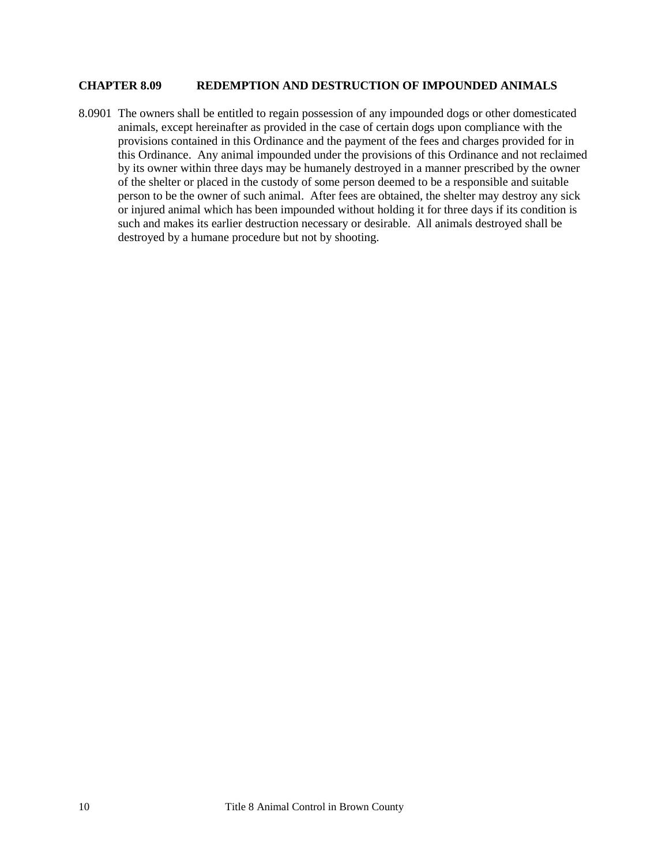### <span id="page-9-0"></span>**CHAPTER 8.09 REDEMPTION AND DESTRUCTION OF IMPOUNDED ANIMALS**

8.0901 The owners shall be entitled to regain possession of any impounded dogs or other domesticated animals, except hereinafter as provided in the case of certain dogs upon compliance with the provisions contained in this Ordinance and the payment of the fees and charges provided for in this Ordinance. Any animal impounded under the provisions of this Ordinance and not reclaimed by its owner within three days may be humanely destroyed in a manner prescribed by the owner of the shelter or placed in the custody of some person deemed to be a responsible and suitable person to be the owner of such animal. After fees are obtained, the shelter may destroy any sick or injured animal which has been impounded without holding it for three days if its condition is such and makes its earlier destruction necessary or desirable. All animals destroyed shall be destroyed by a humane procedure but not by shooting.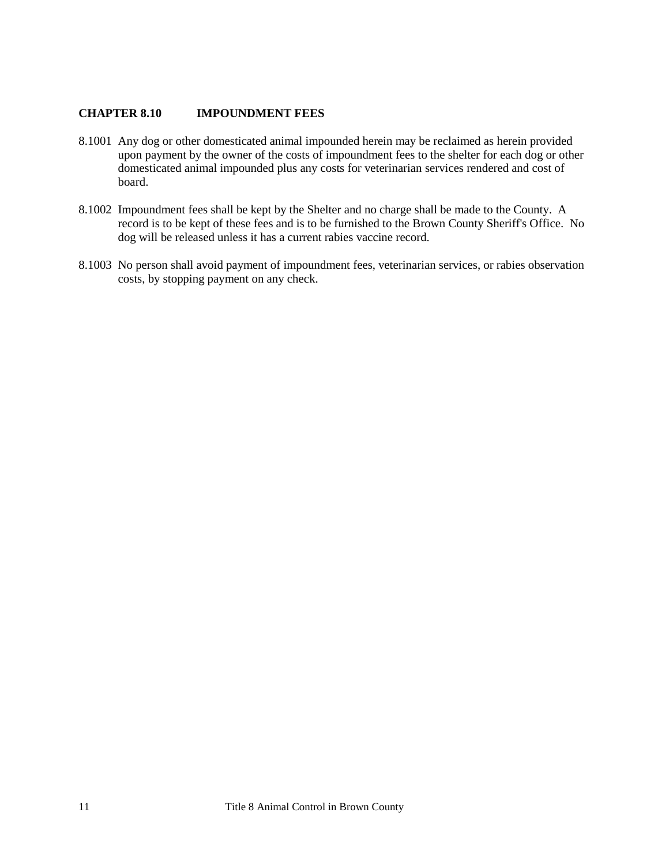### <span id="page-10-0"></span>**CHAPTER 8.10 IMPOUNDMENT FEES**

- 8.1001 Any dog or other domesticated animal impounded herein may be reclaimed as herein provided upon payment by the owner of the costs of impoundment fees to the shelter for each dog or other domesticated animal impounded plus any costs for veterinarian services rendered and cost of board.
- 8.1002 Impoundment fees shall be kept by the Shelter and no charge shall be made to the County. A record is to be kept of these fees and is to be furnished to the Brown County Sheriff's Office. No dog will be released unless it has a current rabies vaccine record.
- 8.1003 No person shall avoid payment of impoundment fees, veterinarian services, or rabies observation costs, by stopping payment on any check.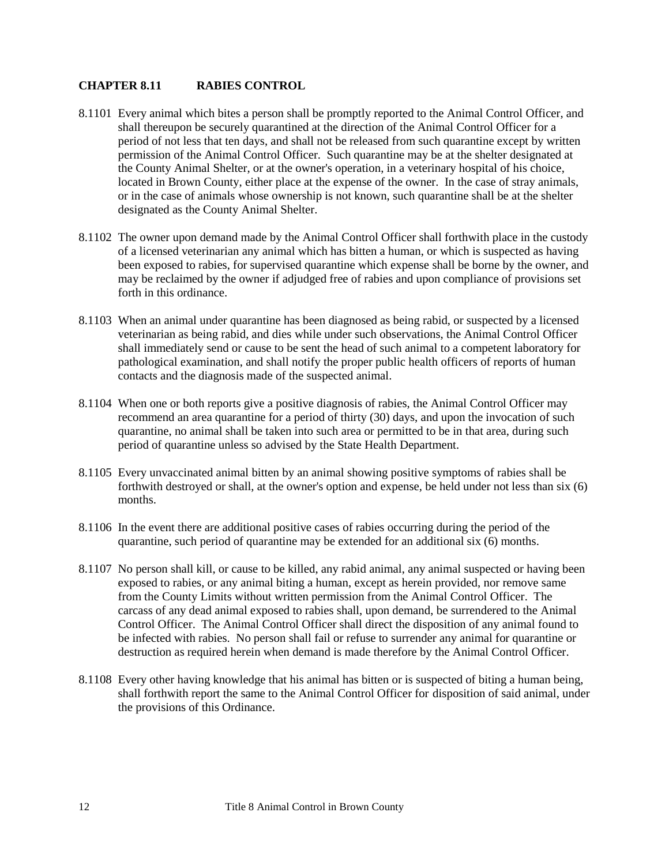### <span id="page-11-0"></span>**CHAPTER 8.11 RABIES CONTROL**

- 8.1101 Every animal which bites a person shall be promptly reported to the Animal Control Officer, and shall thereupon be securely quarantined at the direction of the Animal Control Officer for a period of not less that ten days, and shall not be released from such quarantine except by written permission of the Animal Control Officer. Such quarantine may be at the shelter designated at the County Animal Shelter, or at the owner's operation, in a veterinary hospital of his choice, located in Brown County, either place at the expense of the owner. In the case of stray animals, or in the case of animals whose ownership is not known, such quarantine shall be at the shelter designated as the County Animal Shelter.
- 8.1102 The owner upon demand made by the Animal Control Officer shall forthwith place in the custody of a licensed veterinarian any animal which has bitten a human, or which is suspected as having been exposed to rabies, for supervised quarantine which expense shall be borne by the owner, and may be reclaimed by the owner if adjudged free of rabies and upon compliance of provisions set forth in this ordinance.
- 8.1103 When an animal under quarantine has been diagnosed as being rabid, or suspected by a licensed veterinarian as being rabid, and dies while under such observations, the Animal Control Officer shall immediately send or cause to be sent the head of such animal to a competent laboratory for pathological examination, and shall notify the proper public health officers of reports of human contacts and the diagnosis made of the suspected animal.
- 8.1104 When one or both reports give a positive diagnosis of rabies, the Animal Control Officer may recommend an area quarantine for a period of thirty (30) days, and upon the invocation of such quarantine, no animal shall be taken into such area or permitted to be in that area, during such period of quarantine unless so advised by the State Health Department.
- 8.1105 Every unvaccinated animal bitten by an animal showing positive symptoms of rabies shall be forthwith destroyed or shall, at the owner's option and expense, be held under not less than six (6) months.
- 8.1106 In the event there are additional positive cases of rabies occurring during the period of the quarantine, such period of quarantine may be extended for an additional six (6) months.
- 8.1107 No person shall kill, or cause to be killed, any rabid animal, any animal suspected or having been exposed to rabies, or any animal biting a human, except as herein provided, nor remove same from the County Limits without written permission from the Animal Control Officer. The carcass of any dead animal exposed to rabies shall, upon demand, be surrendered to the Animal Control Officer. The Animal Control Officer shall direct the disposition of any animal found to be infected with rabies. No person shall fail or refuse to surrender any animal for quarantine or destruction as required herein when demand is made therefore by the Animal Control Officer.
- 8.1108 Every other having knowledge that his animal has bitten or is suspected of biting a human being, shall forthwith report the same to the Animal Control Officer for disposition of said animal, under the provisions of this Ordinance.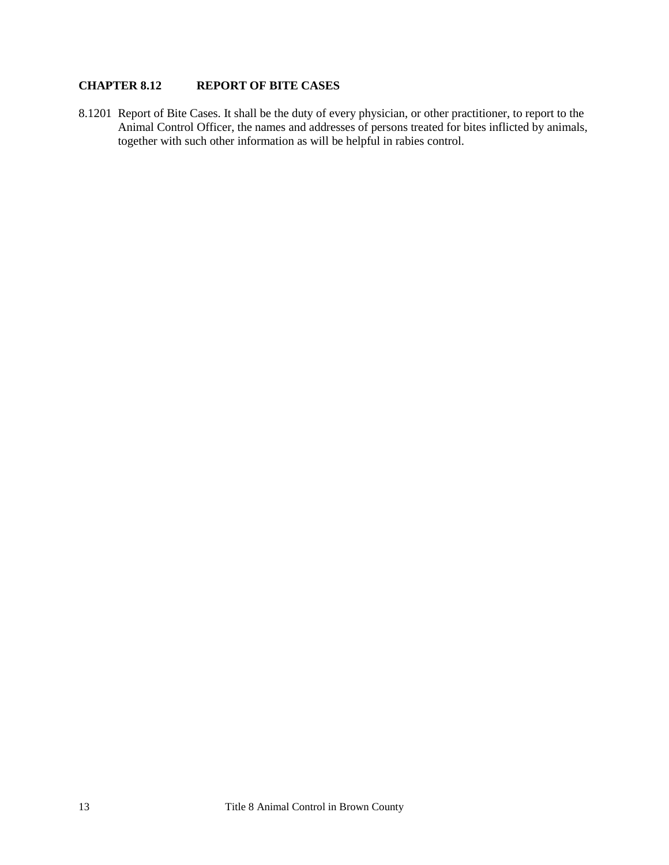## <span id="page-12-0"></span>**CHAPTER 8.12 REPORT OF BITE CASES**

8.1201 Report of Bite Cases. It shall be the duty of every physician, or other practitioner, to report to the Animal Control Officer, the names and addresses of persons treated for bites inflicted by animals, together with such other information as will be helpful in rabies control.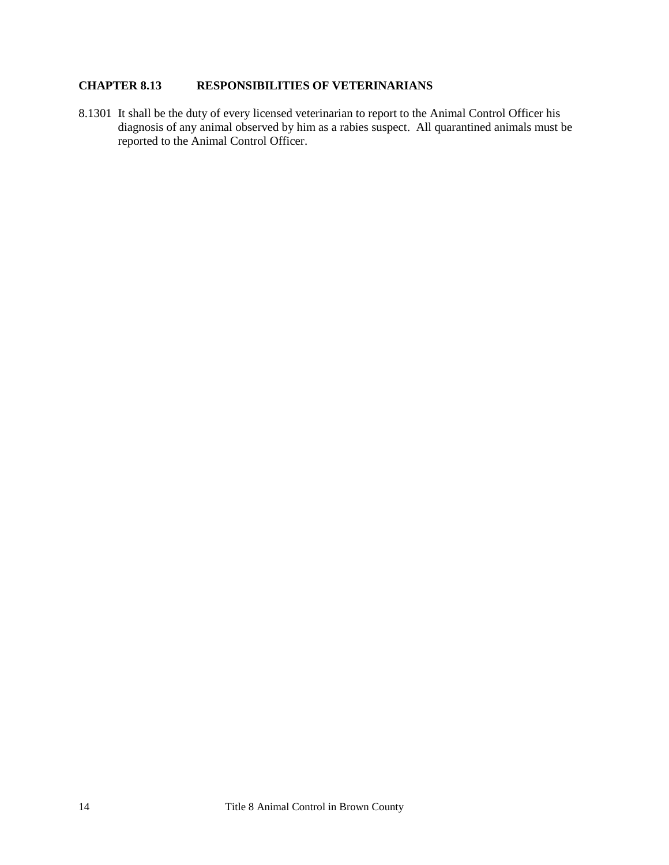## <span id="page-13-0"></span>**CHAPTER 8.13 RESPONSIBILITIES OF VETERINARIANS**

8.1301 It shall be the duty of every licensed veterinarian to report to the Animal Control Officer his diagnosis of any animal observed by him as a rabies suspect. All quarantined animals must be reported to the Animal Control Officer.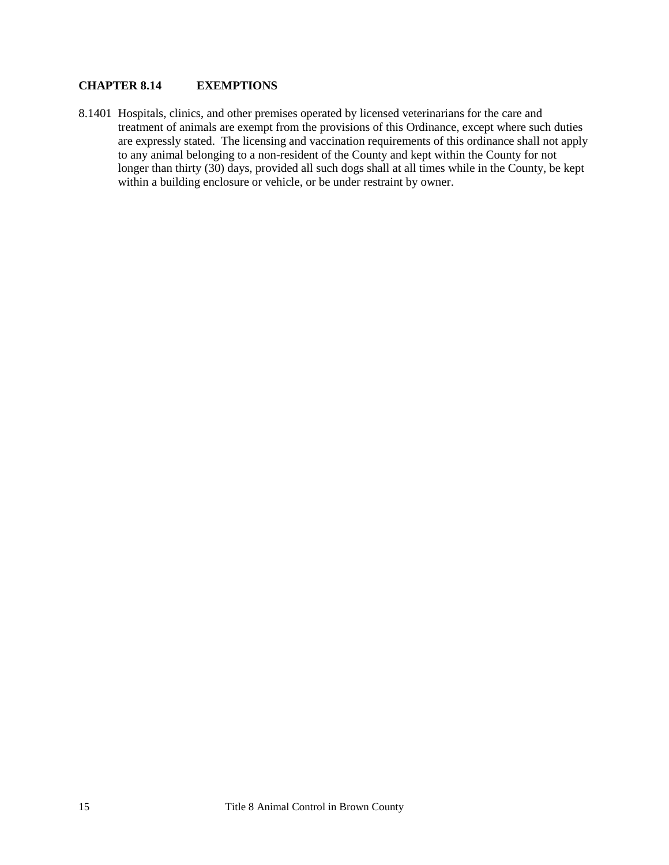## <span id="page-14-0"></span>**CHAPTER 8.14 EXEMPTIONS**

8.1401 Hospitals, clinics, and other premises operated by licensed veterinarians for the care and treatment of animals are exempt from the provisions of this Ordinance, except where such duties are expressly stated. The licensing and vaccination requirements of this ordinance shall not apply to any animal belonging to a non-resident of the County and kept within the County for not longer than thirty (30) days, provided all such dogs shall at all times while in the County, be kept within a building enclosure or vehicle, or be under restraint by owner.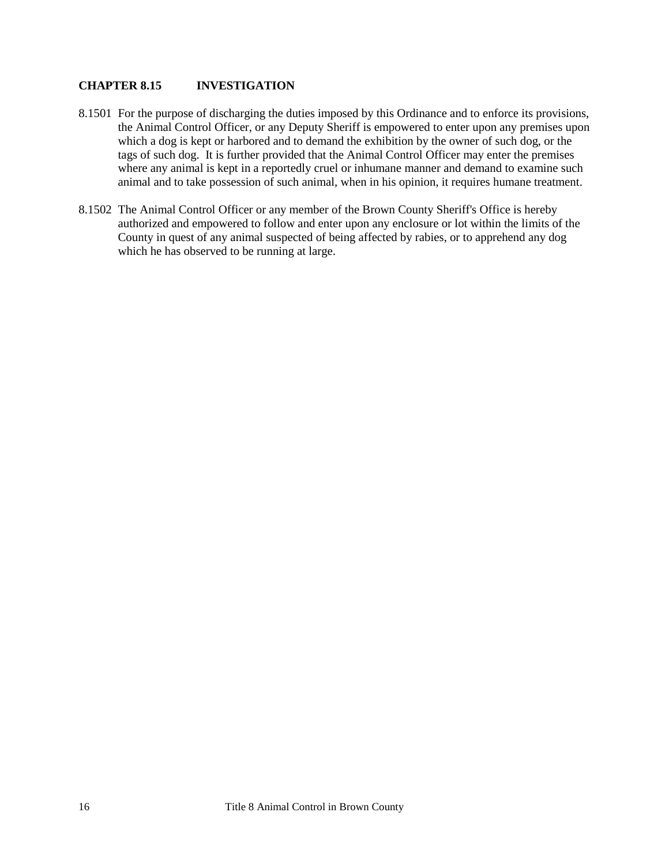### <span id="page-15-0"></span>**CHAPTER 8.15 INVESTIGATION**

- 8.1501 For the purpose of discharging the duties imposed by this Ordinance and to enforce its provisions, the Animal Control Officer, or any Deputy Sheriff is empowered to enter upon any premises upon which a dog is kept or harbored and to demand the exhibition by the owner of such dog, or the tags of such dog. It is further provided that the Animal Control Officer may enter the premises where any animal is kept in a reportedly cruel or inhumane manner and demand to examine such animal and to take possession of such animal, when in his opinion, it requires humane treatment.
- 8.1502 The Animal Control Officer or any member of the Brown County Sheriff's Office is hereby authorized and empowered to follow and enter upon any enclosure or lot within the limits of the County in quest of any animal suspected of being affected by rabies, or to apprehend any dog which he has observed to be running at large.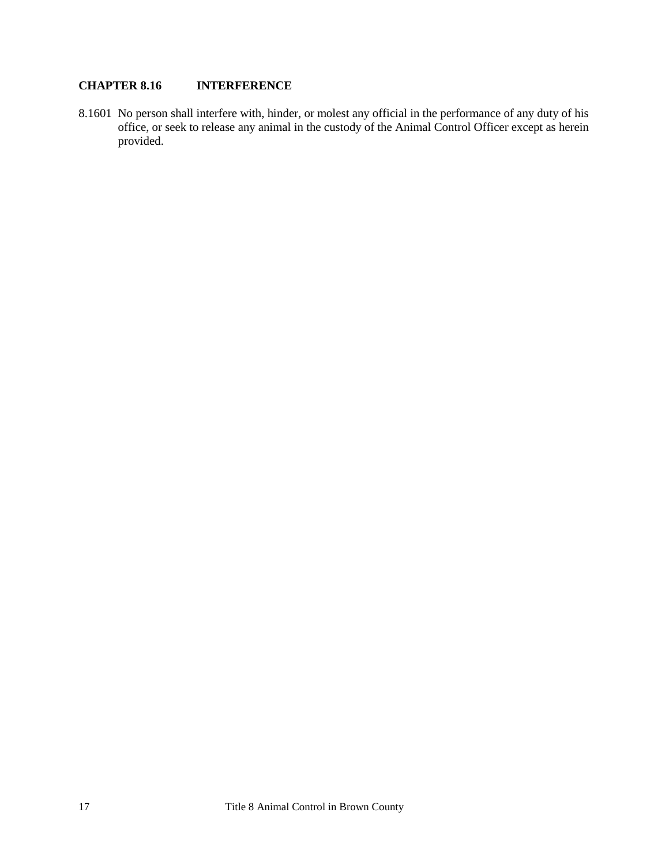## <span id="page-16-0"></span>**CHAPTER 8.16 INTERFERENCE**

8.1601 No person shall interfere with, hinder, or molest any official in the performance of any duty of his office, or seek to release any animal in the custody of the Animal Control Officer except as herein provided.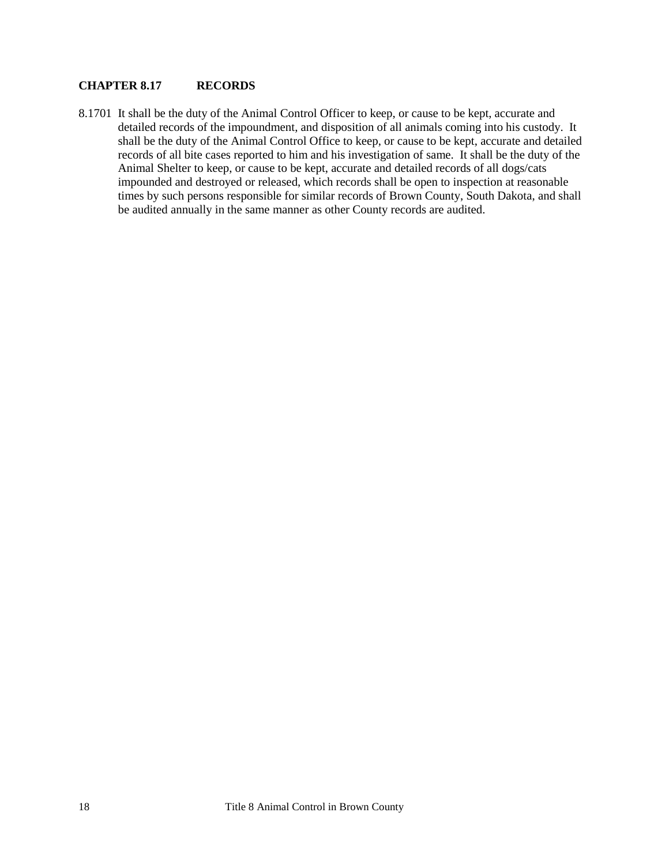#### <span id="page-17-0"></span>**CHAPTER 8.17 RECORDS**

8.1701 It shall be the duty of the Animal Control Officer to keep, or cause to be kept, accurate and detailed records of the impoundment, and disposition of all animals coming into his custody. It shall be the duty of the Animal Control Office to keep, or cause to be kept, accurate and detailed records of all bite cases reported to him and his investigation of same. It shall be the duty of the Animal Shelter to keep, or cause to be kept, accurate and detailed records of all dogs/cats impounded and destroyed or released, which records shall be open to inspection at reasonable times by such persons responsible for similar records of Brown County, South Dakota, and shall be audited annually in the same manner as other County records are audited.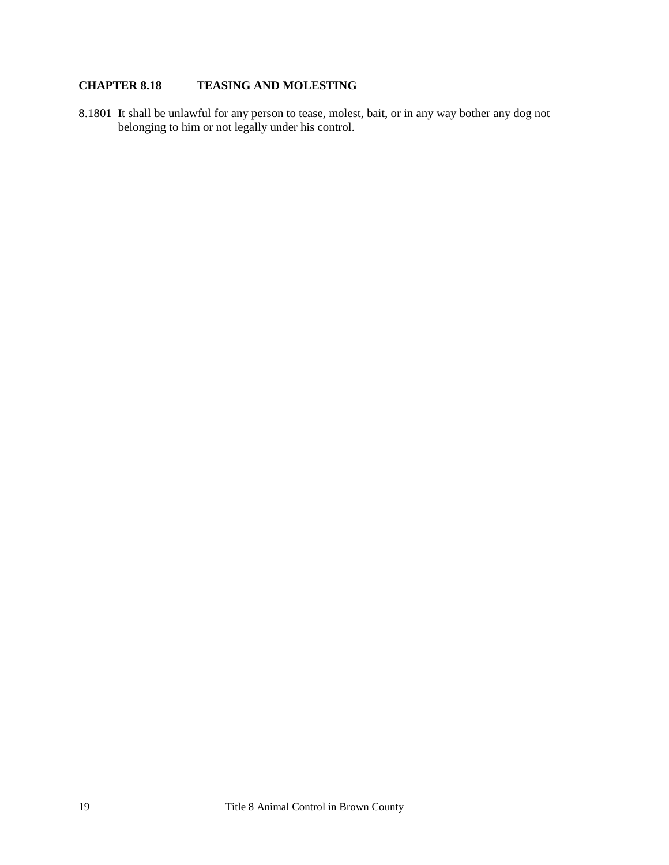## <span id="page-18-0"></span>**CHAPTER 8.18 TEASING AND MOLESTING**

8.1801 It shall be unlawful for any person to tease, molest, bait, or in any way bother any dog not belonging to him or not legally under his control.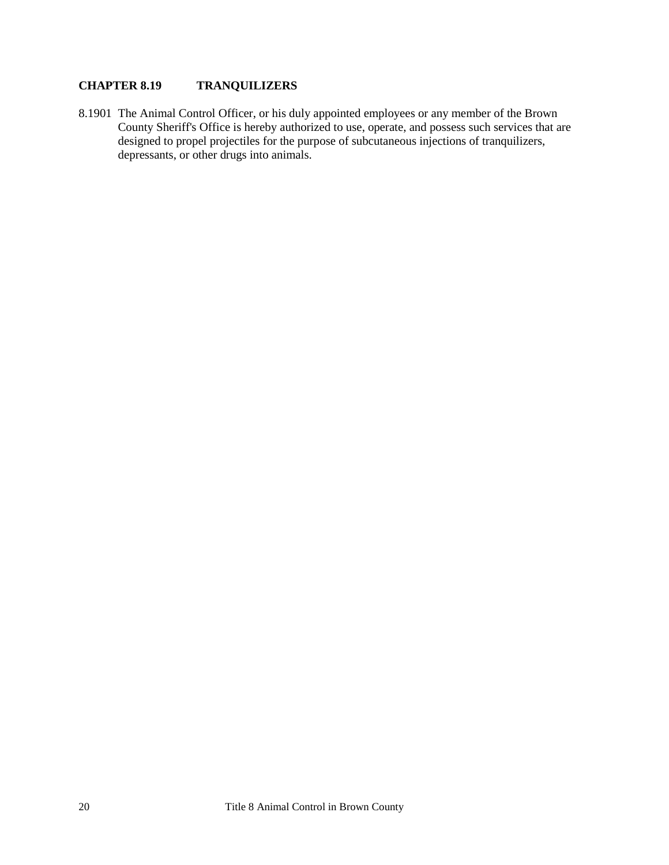## <span id="page-19-0"></span>**CHAPTER 8.19 TRANQUILIZERS**

8.1901 The Animal Control Officer, or his duly appointed employees or any member of the Brown County Sheriff's Office is hereby authorized to use, operate, and possess such services that are designed to propel projectiles for the purpose of subcutaneous injections of tranquilizers, depressants, or other drugs into animals.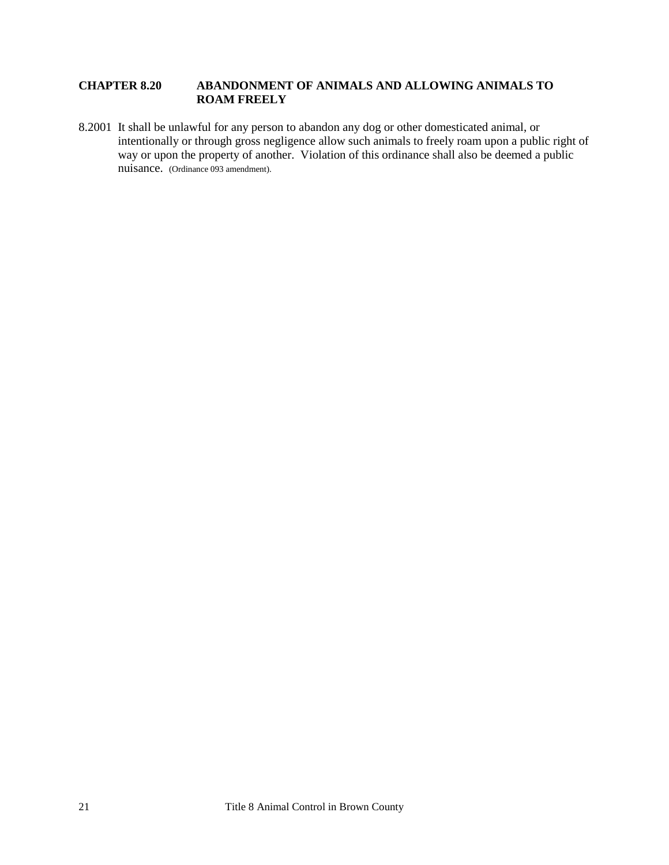### <span id="page-20-0"></span>**CHAPTER 8.20 ABANDONMENT OF ANIMALS AND ALLOWING ANIMALS TO ROAM FREELY**

8.2001 It shall be unlawful for any person to abandon any dog or other domesticated animal, or intentionally or through gross negligence allow such animals to freely roam upon a public right of way or upon the property of another. Violation of this ordinance shall also be deemed a public nuisance. (Ordinance 093 amendment).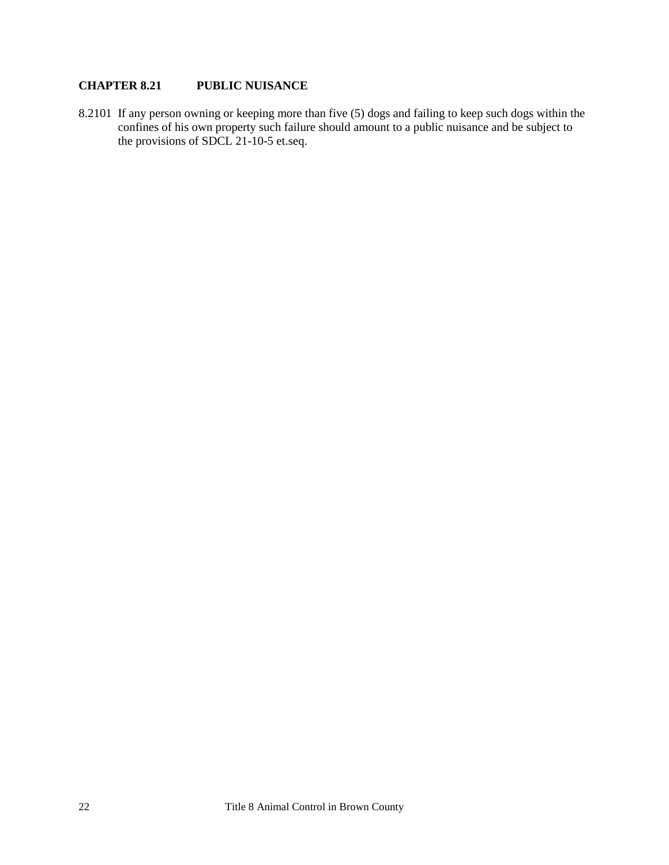## <span id="page-21-0"></span>**CHAPTER 8.21 PUBLIC NUISANCE**

8.2101 If any person owning or keeping more than five (5) dogs and failing to keep such dogs within the confines of his own property such failure should amount to a public nuisance and be subject to the provisions of SDCL 21-10-5 et.seq.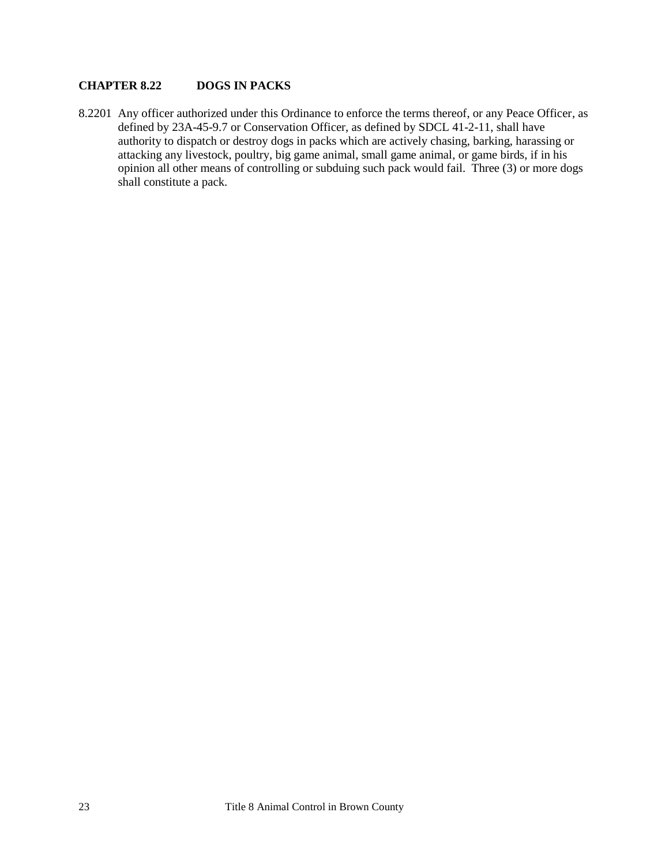## <span id="page-22-0"></span>**CHAPTER 8.22 DOGS IN PACKS**

8.2201 Any officer authorized under this Ordinance to enforce the terms thereof, or any Peace Officer, as defined by 23A-45-9.7 or Conservation Officer, as defined by SDCL 41-2-11, shall have authority to dispatch or destroy dogs in packs which are actively chasing, barking, harassing or attacking any livestock, poultry, big game animal, small game animal, or game birds, if in his opinion all other means of controlling or subduing such pack would fail. Three (3) or more dogs shall constitute a pack.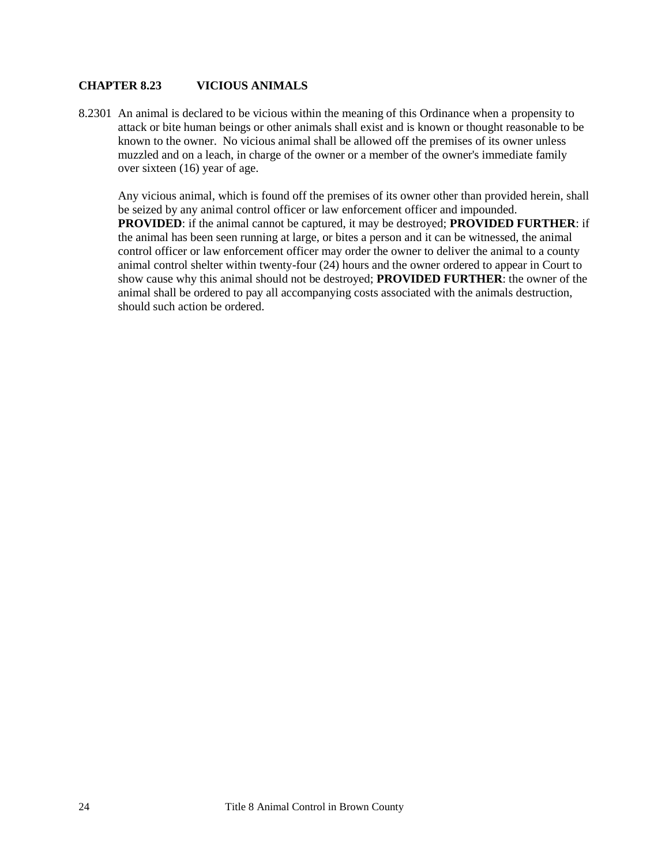#### <span id="page-23-0"></span>**CHAPTER 8.23 VICIOUS ANIMALS**

8.2301 An animal is declared to be vicious within the meaning of this Ordinance when a propensity to attack or bite human beings or other animals shall exist and is known or thought reasonable to be known to the owner. No vicious animal shall be allowed off the premises of its owner unless muzzled and on a leach, in charge of the owner or a member of the owner's immediate family over sixteen (16) year of age.

Any vicious animal, which is found off the premises of its owner other than provided herein, shall be seized by any animal control officer or law enforcement officer and impounded. **PROVIDED**: if the animal cannot be captured, it may be destroyed; **PROVIDED FURTHER**: if the animal has been seen running at large, or bites a person and it can be witnessed, the animal control officer or law enforcement officer may order the owner to deliver the animal to a county animal control shelter within twenty-four (24) hours and the owner ordered to appear in Court to show cause why this animal should not be destroyed; **PROVIDED FURTHER**: the owner of the animal shall be ordered to pay all accompanying costs associated with the animals destruction, should such action be ordered.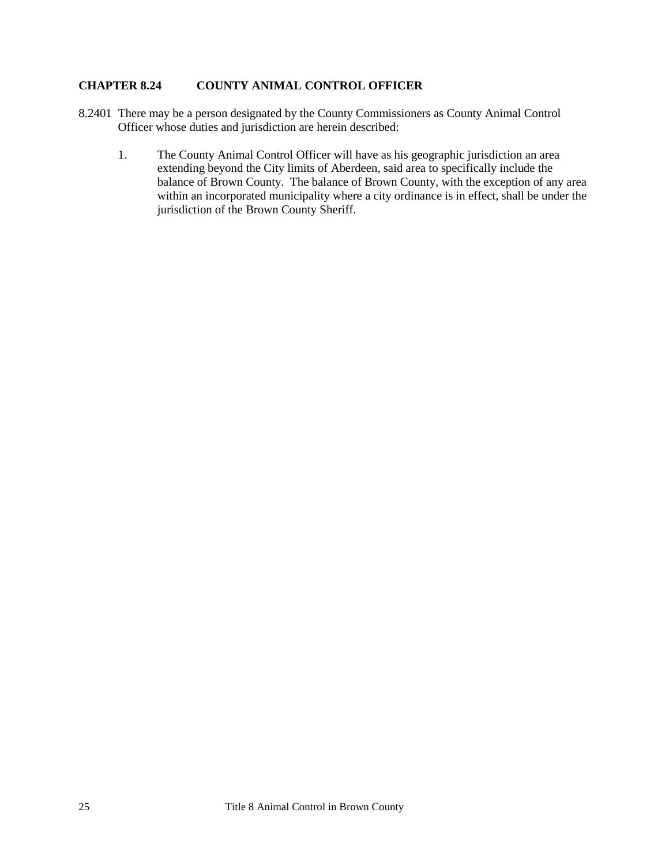### <span id="page-24-0"></span>**CHAPTER 8.24 COUNTY ANIMAL CONTROL OFFICER**

- 8.2401 There may be a person designated by the County Commissioners as County Animal Control Officer whose duties and jurisdiction are herein described:
	- 1. The County Animal Control Officer will have as his geographic jurisdiction an area extending beyond the City limits of Aberdeen, said area to specifically include the balance of Brown County. The balance of Brown County, with the exception of any area within an incorporated municipality where a city ordinance is in effect, shall be under the jurisdiction of the Brown County Sheriff.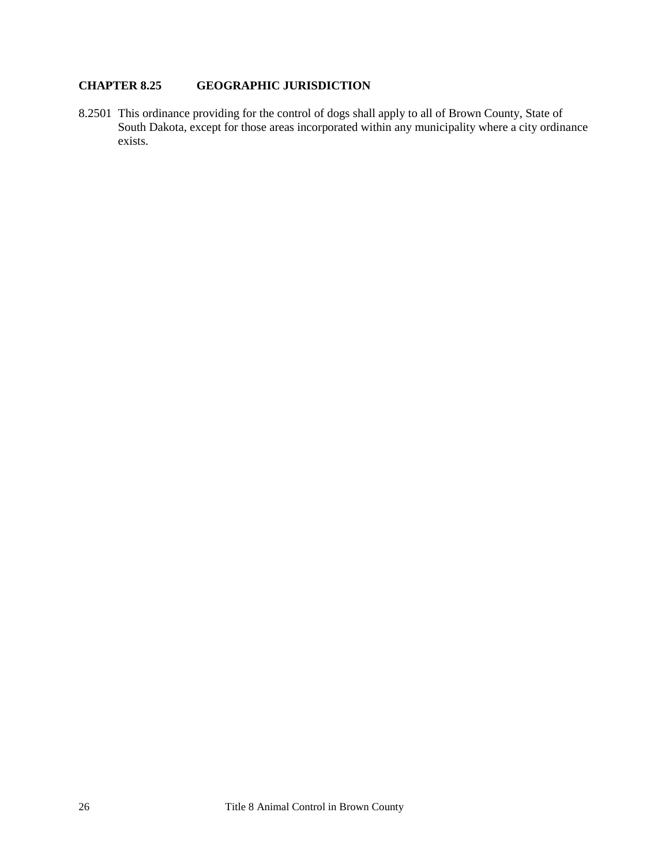## <span id="page-25-0"></span>**CHAPTER 8.25 GEOGRAPHIC JURISDICTION**

8.2501 This ordinance providing for the control of dogs shall apply to all of Brown County, State of South Dakota, except for those areas incorporated within any municipality where a city ordinance exists.